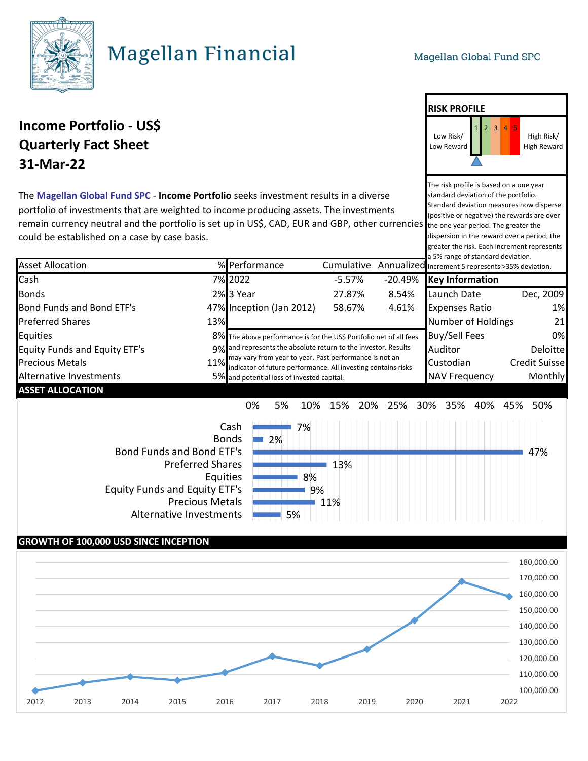

# **Magellan Financial**

The risk profile is based on a one year

High Risk/ High Reward

**RISK PROFILE**

Low Risk/ Low Reward

### **Income Portfolio - US\$ Quarterly Fact Sheet 31-Mar-22**

standard deviation of the portfolio. Standard deviation measures how disperse (positive or negative) the rewards are over remain currency neutral and the portfolio is set up in US\$, CAD, EUR and GBP, other currencies the one year period. The greater the dispersion in the reward over a period, the greater the risk. Each increment represents The **Magellan Global Fund SPC** - **Income Portfolio** seeks investment results in a diverse portfolio of investments that are weighted to income producing assets. The investments could be established on a case by case basis.

|                                      |      |                                                                                                                                                                                                                                                                                                               |            |           | a 5% range of standard deviation.                 |                      |
|--------------------------------------|------|---------------------------------------------------------------------------------------------------------------------------------------------------------------------------------------------------------------------------------------------------------------------------------------------------------------|------------|-----------|---------------------------------------------------|----------------------|
| <b>Asset Allocation</b>              |      | % Performance                                                                                                                                                                                                                                                                                                 | Cumulative |           | Annualized Increment 5 represents >35% deviation. |                      |
| Cash                                 |      | 7% 2022                                                                                                                                                                                                                                                                                                       | $-5.57%$   | $-20.49%$ | <b>Key Information</b>                            |                      |
| <b>Bonds</b>                         |      | 2%3 Year                                                                                                                                                                                                                                                                                                      | 27.87%     | 8.54%     | Launch Date                                       | Dec, 2009            |
| Bond Funds and Bond ETF's            |      | 47% Inception (Jan 2012)                                                                                                                                                                                                                                                                                      | 58.67%     | 4.61%     | <b>Expenses Ratio</b>                             | 1%                   |
| <b>Preferred Shares</b>              | 13%  |                                                                                                                                                                                                                                                                                                               |            |           | <b>Number of Holdings</b>                         | 21                   |
| <b>Equities</b>                      |      | 8% The above performance is for the US\$ Portfolio net of all fees<br>9% and represents the absolute return to the investor. Results<br>may vary from year to year. Past performance is not an<br>indicator of future performance. All investing contains risks<br>5% and potential loss of invested capital. |            |           | <b>Buy/Sell Fees</b>                              | 0%                   |
| <b>Equity Funds and Equity ETF's</b> |      |                                                                                                                                                                                                                                                                                                               |            |           | Auditor                                           | Deloitte             |
| <b>Precious Metals</b>               | 11%I |                                                                                                                                                                                                                                                                                                               |            |           | Custodian                                         | <b>Credit Suisse</b> |
| Alternative Investments              |      |                                                                                                                                                                                                                                                                                                               |            |           | <b>NAV Frequency</b>                              | Monthly              |
| <b>ASSET ALLOCATION</b>              |      |                                                                                                                                                                                                                                                                                                               |            |           |                                                   |                      |

0% 5% 10% 15% 20% 25% 30% 35% 40% 45% 50%